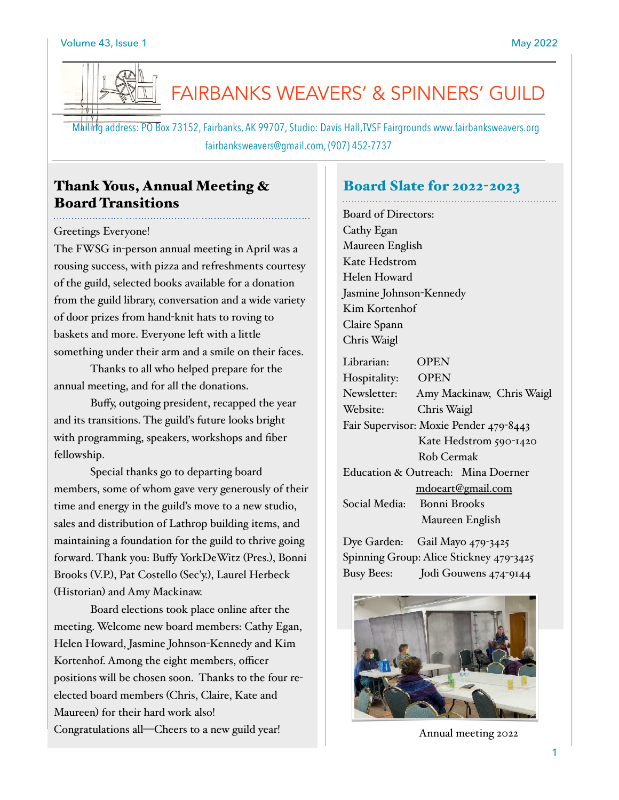

# FAIRBANKS WEAVERS' & SPINNERS' GUILD

 Mailing address: PO Box 73152, Fairbanks, AK 99707, Studio: Davis Hall,TVSF Fairgrounds www.fairbanksweavers.org fairbanksweavers@gmail.com, (907) 452-7737

# Thank Yous, Annual Meeting & Board Transitions

## Greetings Everyone!

The FWSG in-person annual meeting in April was a rousing success, with pizza and refreshments courtesy of the guild, selected books available for a donation from the guild library, conversation and a wide variety of door prizes from hand-knit hats to roving to baskets and more. Everyone left with a little something under their arm and a smile on their faces.

Thanks to all who helped prepare for the annual meeting, and for all the donations.

Buffy, outgoing president, recapped the year and its transitions. The guild's future looks bright with programming, speakers, workshops and fiber fellowship.

Special thanks go to departing board members, some of whom gave very generously of their time and energy in the guild's move to a new studio, sales and distribution of Lathrop building items, and maintaining a foundation for the guild to thrive going forward. Thank you: Buffy YorkDeWitz (Pres.), Bonni Brooks (V.P.), Pat Costello (Sec'y.), Laurel Herbeck (Historian) and Amy Mackinaw.

Board elections took place online after the meeting. Welcome new board members: Cathy Egan, Helen Howard, Jasmine Johnson-Kennedy and Kim Kortenhof. Among the eight members, officer positions will be chosen soon. Thanks to the four reelected board members (Chris, Claire, Kate and Maureen) for their hard work also! Congratulations all—Cheers to a new guild year!

## Board Slate for 2022-2023

Board of Directors: Cathy Egan Maureen English Kate Hedstrom Helen Howard Jasmine Johnson-Kennedy Kim Kortenhof Claire Spann Chris Waigl

| Librarian:                             | OPEN                      |
|----------------------------------------|---------------------------|
| Hospitality:                           | <b>OPEN</b>               |
| Newsletter:                            | Amy Mackinaw, Chris Waigl |
| Website:                               | Chris Waigl               |
| Fair Supervisor: Moxie Pender 479-8443 |                           |
|                                        | Kate Hedstrom 590-1420    |
|                                        | Rob Cermak                |
| Education & Outreach: Mina Doerner     |                           |
|                                        | mdoeart@gmail.com         |
| Social Media:                          | Bonni Brooks              |
|                                        | Maureen English           |

Dye Garden: Gail Mayo 479-3425 Spinning Group: Alice Stickney 479-3425 Busy Bees: Jodi Gouwens 474-9144



Annual meeting 2022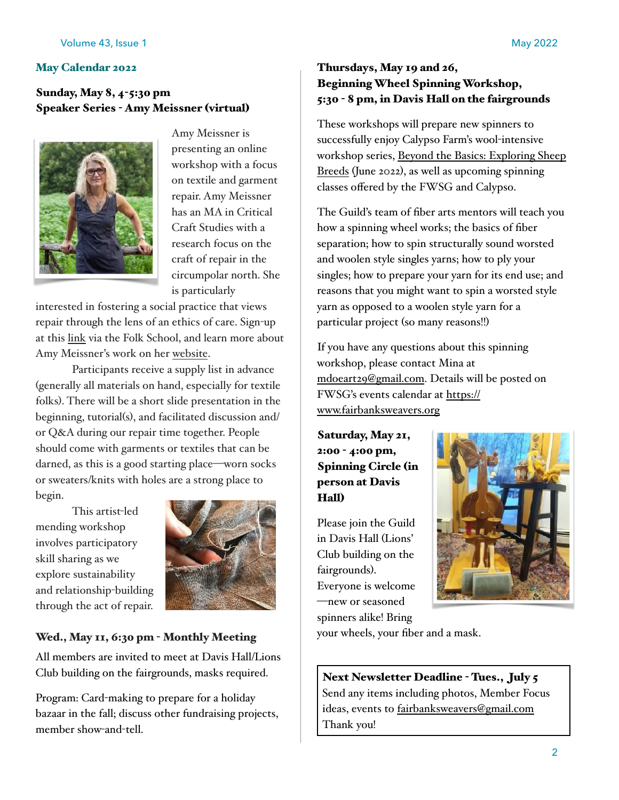## Sunday, May 8, 4-5:30 pm Speaker Series - Amy Meissner (virtual)



Amy Meissner is presenting an online workshop with a focus on textile and garment repair. Amy Meissner has an MA in Critical Craft Studies with a research focus on the craft of repair in the circumpolar north. She is particularly

interested in fostering a social practice that views repair through the lens of an ethics of care. Sign-up at this [link](https://folk.school/events/event/mending-repairing-and-reclaiming-clothing-online/) via the Folk School, and learn more about Amy Meissner's work on her [website.](https://www.amymeissner.com/)

Participants receive a supply list in advance (generally all materials on hand, especially for textile folks). There will be a short slide presentation in the beginning, tutorial(s), and facilitated discussion and/ or Q&A during our repair time together. People should come with garments or textiles that can be darned, as this is a good starting place—worn socks or sweaters/knits with holes are a strong place to begin.

This artist-led mending workshop involves participatory skill sharing as we explore sustainability and relationship-building through the act of repair.



# Wed., May 11, 6:30 pm - Monthly Meeting

All members are invited to meet at Davis Hall/Lions Club building on the fairgrounds, masks required.

Program: Card-making to prepare for a holiday bazaar in the fall; discuss other fundraising projects, member show-and-tell.

# Thursdays, May 19 and 26, Beginning Wheel Spinning Workshop, 5:30 - 8 pm, in Davis Hall on the fairgrounds

These workshops will prepare new spinners to successfully enjoy Calypso Farm's wool-intensive workshop series, [Beyond the Basics: Exploring Sheep](https://calypsofarm.org/product/beyond-the-basics-spinning-series/)  [Breeds](https://calypsofarm.org/product/beyond-the-basics-spinning-series/) (June 2022), as well as upcoming spinning classes offered by the FWSG and Calypso.

The Guild's team of fiber arts mentors will teach you how a spinning wheel works; the basics of fiber separation; how to spin structurally sound worsted and woolen style singles yarns; how to ply your singles; how to prepare your yarn for its end use; and reasons that you might want to spin a worsted style yarn as opposed to a woolen style yarn for a particular project (so many reasons!!)

If you have any questions about this spinning workshop, please contact Mina at [mdoeart29@gmail.com.](mailto:mdoeart29@gmail.com) Details will be posted on FWSG's events calendar at [https://](https://www.fairbanksweavers.org) [www.fairbanksweavers.org](https://www.fairbanksweavers.org)

Saturday, May 21, 2:00 - 4:00 pm, Spinning Circle (in person at Davis Hall)

Please join the Guild in Davis Hall (Lions' Club building on the fairgrounds). Everyone is welcome —new or seasoned spinners alike! Bring



your wheels, your fiber and a mask.

Next Newsletter Deadline - Tues., July 5 Send any items including photos, Member Focus ideas, events to [fairbanksweavers@gmail.com](mailto:fairbanksweavers@gmail.com) Thank you!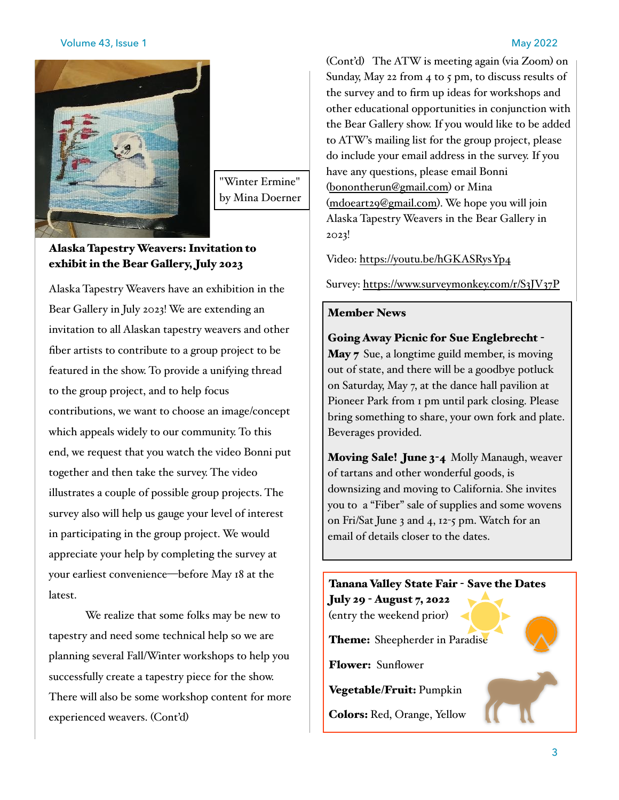## Volume 43, Issue 1 May 2022

"Winter Ermine" by Mina Doerner

## Alaska Tapestry Weavers: Invitation to exhibit in the Bear Gallery, July 2023

Alaska Tapestry Weavers have an exhibition in the Bear Gallery in July 2023! We are extending an invitation to all Alaskan tapestry weavers and other fiber artists to contribute to a group project to be featured in the show. To provide a unifying thread to the group project, and to help focus contributions, we want to choose an image/concept which appeals widely to our community. To this end, we request that you watch the video Bonni put together and then take the survey. The video illustrates a couple of possible group projects. The survey also will help us gauge your level of interest in participating in the group project. We would appreciate your help by completing the survey at your earliest convenience—before May 18 at the latest.

We realize that some folks may be new to tapestry and need some technical help so we are planning several Fall/Winter workshops to help you successfully create a tapestry piece for the show. There will also be some workshop content for more experienced weavers. (Cont'd)

(Cont'd) The ATW is meeting again (via Zoom) on Sunday, May 22 from 4 to 5 pm, to discuss results of the survey and to firm up ideas for workshops and other educational opportunities in conjunction with the Bear Gallery show. If you would like to be added to ATW's mailing list for the group project, please do include your email address in the survey. If you have any questions, please email Bonni ([bonontherun@gmail.com](mailto:bonontherun@gmail.com)) or Mina ([mdoeart29@gmail.com](mailto:mdoeart29@gmail.com)). We hope you will join Alaska Tapestry Weavers in the Bear Gallery in 2023!

Video: <https://youtu.be/hGKASRysYp4>

Survey:<https://www.surveymonkey.com/r/S3JV37P>

## Member News

Going Away Picnic for Sue Englebrecht - May 7 Sue, a longtime guild member, is moving out of state, and there will be a goodbye potluck on Saturday, May 7, at the dance hall pavilion at Pioneer Park from 1 pm until park closing. Please bring something to share, your own fork and plate. Beverages provided.

Moving Sale! June 3-4 Molly Manaugh, weaver of tartans and other wonderful goods, is downsizing and moving to California. She invites you to a "Fiber" sale of supplies and some wovens on Fri/Sat June 3 and 4, 12-5 pm. Watch for an email of details closer to the dates.

# Tanana Valley State Fair - Save the Dates July 29 - August 7, 2022 (entry the weekend prior) Theme: Sheepherder in Paradise Flower: Sunflower Vegetable/Fruit: Pumpkin Colors: Red, Orange, Yellow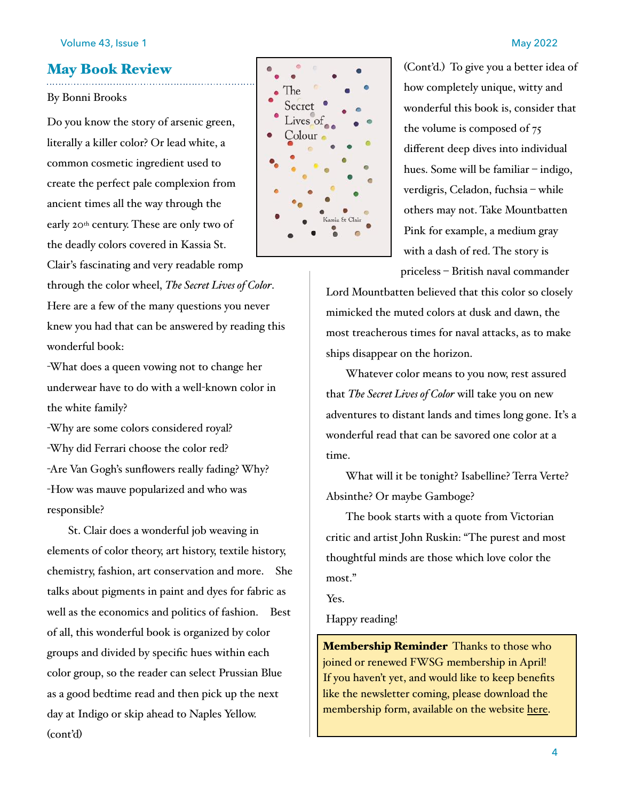## May Book Review

### By Bonni Brooks

Do you know the story of arsenic green, literally a killer color? Or lead white, a common cosmetic ingredient used to create the perfect pale complexion from ancient times all the way through the early 20th century. These are only two of the deadly colors covered in Kassia St.

Clair's fascinating and very readable romp through the color wheel, *The Secret Lives of Color*. Here are a few of the many questions you never knew you had that can be answered by reading this wonderful book:

-What does a queen vowing not to change her underwear have to do with a well-known color in the white family?

-Why are some colors considered royal? -Why did Ferrari choose the color red? -Are Van Gogh's sunflowers really fading? Why? -How was mauve popularized and who was responsible?

St. Clair does a wonderful job weaving in elements of color theory, art history, textile history, chemistry, fashion, art conservation and more. She talks about pigments in paint and dyes for fabric as well as the economics and politics of fashion. Best of all, this wonderful book is organized by color groups and divided by specific hues within each color group, so the reader can select Prussian Blue as a good bedtime read and then pick up the next day at Indigo or skip ahead to Naples Yellow. (cont'd)



(Cont'd.) To give you a better idea of how completely unique, witty and wonderful this book is, consider that the volume is composed of 75 different deep dives into individual hues. Some will be familiar – indigo, verdigris, Celadon, fuchsia – while others may not. Take Mountbatten Pink for example, a medium gray with a dash of red. The story is

priceless – British naval commander

Lord Mountbatten believed that this color so closely mimicked the muted colors at dusk and dawn, the most treacherous times for naval attacks, as to make ships disappear on the horizon.

Whatever color means to you now, rest assured that *The Secret Lives of Color* will take you on new adventures to distant lands and times long gone. It's a wonderful read that can be savored one color at a time.

What will it be tonight? Isabelline? Terra Verte? Absinthe? Or maybe Gamboge?

The book starts with a quote from Victorian critic and artist John Ruskin: "The purest and most thoughtful minds are those which love color the most."

Yes.

Happy reading!

**Membership Reminder** Thanks to those who joined or renewed FWSG membership in April! If you haven't yet, and would like to keep benefits like the newsletter coming, please download the membership form, available on the website [here.](https://fairbanksweavers.org/wp-content/uploads/2022/04/FWSG_2022Membershipform.pdf)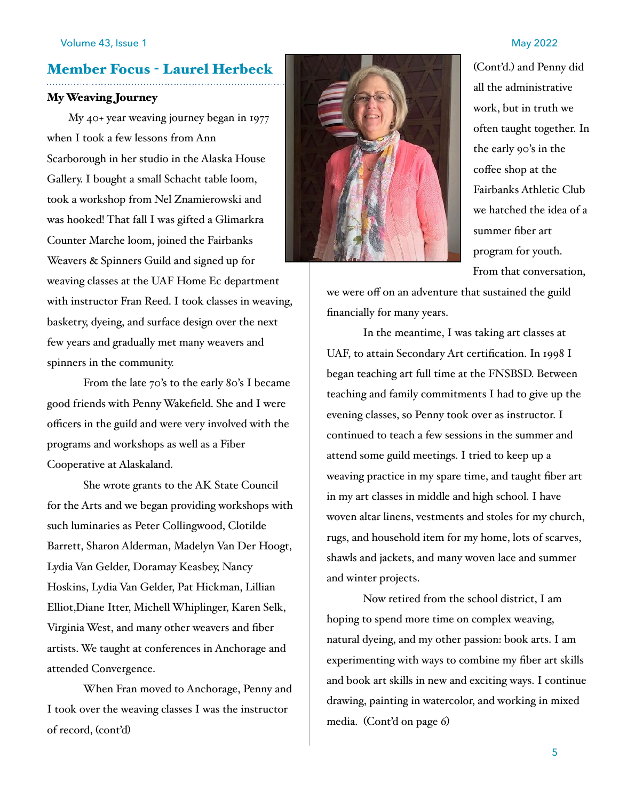# Member Focus - Laurel Herbeck

### My Weaving Journey

My 40+ year weaving journey began in 1977 when I took a few lessons from Ann Scarborough in her studio in the Alaska House Gallery. I bought a small Schacht table loom, took a workshop from Nel Znamierowski and was hooked! That fall I was gifted a Glimarkra Counter Marche loom, joined the Fairbanks Weavers & Spinners Guild and signed up for weaving classes at the UAF Home Ec department with instructor Fran Reed. I took classes in weaving, basketry, dyeing, and surface design over the next few years and gradually met many weavers and spinners in the community.

From the late 70's to the early 80's I became good friends with Penny Wakefield. She and I were officers in the guild and were very involved with the programs and workshops as well as a Fiber Cooperative at Alaskaland.

She wrote grants to the AK State Council for the Arts and we began providing workshops with such luminaries as Peter Collingwood, Clotilde Barrett, Sharon Alderman, Madelyn Van Der Hoogt, Lydia Van Gelder, Doramay Keasbey, Nancy Hoskins, Lydia Van Gelder, Pat Hickman, Lillian Elliot,Diane Itter, Michell Whiplinger, Karen Selk, Virginia West, and many other weavers and fiber artists. We taught at conferences in Anchorage and attended Convergence.

When Fran moved to Anchorage, Penny and I took over the weaving classes I was the instructor of record, (cont'd)



(Cont'd.) and Penny did all the administrative work, but in truth we often taught together. In the early 90's in the coffee shop at the Fairbanks Athletic Club we hatched the idea of a summer fiber art program for youth. From that conversation,

we were off on an adventure that sustained the guild financially for many years.

In the meantime, I was taking art classes at UAF, to attain Secondary Art certification. In 1998 I began teaching art full time at the FNSBSD. Between teaching and family commitments I had to give up the evening classes, so Penny took over as instructor. I continued to teach a few sessions in the summer and attend some guild meetings. I tried to keep up a weaving practice in my spare time, and taught fiber art in my art classes in middle and high school. I have woven altar linens, vestments and stoles for my church, rugs, and household item for my home, lots of scarves, shawls and jackets, and many woven lace and summer and winter projects.

Now retired from the school district, I am hoping to spend more time on complex weaving, natural dyeing, and my other passion: book arts. I am experimenting with ways to combine my fiber art skills and book art skills in new and exciting ways. I continue drawing, painting in watercolor, and working in mixed media. (Cont'd on page 6)